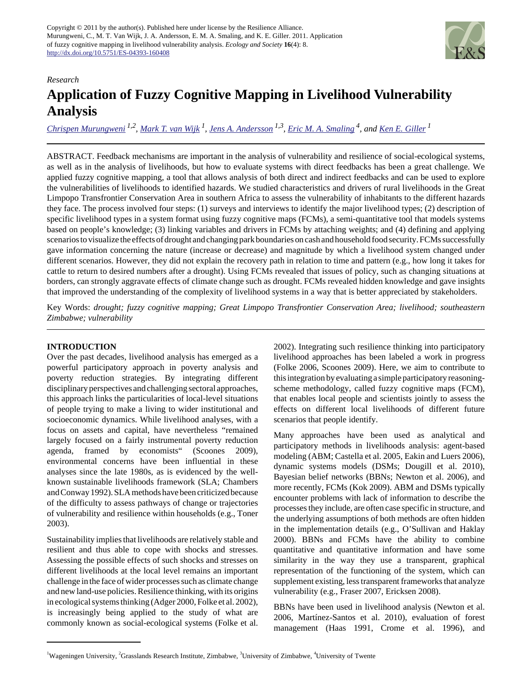

## *Research*

# **Application of Fuzzy Cognitive Mapping in Livelihood Vulnerability Analysis**

*[Chrispen Murungweni](mailto:Chrispen.Murungweni@wur.nl) 1,2 , [Mark T. van Wijk](mailto:mark.vanwijk@wur.nl)<sup>1</sup> , [Jens A. Andersson](mailto:jens.andersson@wur.nl) 1,3 , [Eric M. A. Smaling](mailto:smaling@itc.nl) 4, and [Ken E. Giller](mailto:ken.giller@wur.nl)<sup>1</sup>*

ABSTRACT. Feedback mechanisms are important in the analysis of vulnerability and resilience of social-ecological systems, as well as in the analysis of livelihoods, but how to evaluate systems with direct feedbacks has been a great challenge. We applied fuzzy cognitive mapping, a tool that allows analysis of both direct and indirect feedbacks and can be used to explore the vulnerabilities of livelihoods to identified hazards. We studied characteristics and drivers of rural livelihoods in the Great Limpopo Transfrontier Conservation Area in southern Africa to assess the vulnerability of inhabitants to the different hazards they face. The process involved four steps: (1) surveys and interviews to identify the major livelihood types; (2) description of specific livelihood types in a system format using fuzzy cognitive maps (FCMs), a semi-quantitative tool that models systems based on people's knowledge; (3) linking variables and drivers in FCMs by attaching weights; and (4) defining and applying scenarios to visualize the effects of drought and changing park boundaries on cash and household food security. FCMs successfully gave information concerning the nature (increase or decrease) and magnitude by which a livelihood system changed under different scenarios. However, they did not explain the recovery path in relation to time and pattern (e.g., how long it takes for cattle to return to desired numbers after a drought). Using FCMs revealed that issues of policy, such as changing situations at borders, can strongly aggravate effects of climate change such as drought. FCMs revealed hidden knowledge and gave insights that improved the understanding of the complexity of livelihood systems in a way that is better appreciated by stakeholders.

Key Words: *drought; fuzzy cognitive mapping; Great Limpopo Transfrontier Conservation Area; livelihood; southeastern Zimbabwe; vulnerability*

## **INTRODUCTION**

Over the past decades, livelihood analysis has emerged as a powerful participatory approach in poverty analysis and poverty reduction strategies. By integrating different disciplinary perspectives and challenging sectoral approaches, this approach links the particularities of local-level situations of people trying to make a living to wider institutional and socioeconomic dynamics. While livelihood analyses, with a focus on assets and capital, have nevertheless "remained largely focused on a fairly instrumental poverty reduction agenda, framed by economists" (Scoones 2009), environmental concerns have been influential in these analyses since the late 1980s, as is evidenced by the wellknown sustainable livelihoods framework (SLA; Chambers and Conway 1992). SLA methods have been criticized because of the difficulty to assess pathways of change or trajectories of vulnerability and resilience within households (e.g., Toner 2003).

Sustainability implies that livelihoods are relatively stable and resilient and thus able to cope with shocks and stresses. Assessing the possible effects of such shocks and stresses on different livelihoods at the local level remains an important challenge in the face of wider processes such as climate change and new land-use policies. Resilience thinking, with its origins in ecological systems thinking (Adger 2000, Folke et al. 2002), is increasingly being applied to the study of what are commonly known as social-ecological systems (Folke et al.

2002). Integrating such resilience thinking into participatory livelihood approaches has been labeled a work in progress (Folke 2006, Scoones 2009). Here, we aim to contribute to this integration by evaluating a simple participatory reasoningscheme methodology, called fuzzy cognitive maps (FCM), that enables local people and scientists jointly to assess the effects on different local livelihoods of different future scenarios that people identify.

Many approaches have been used as analytical and participatory methods in livelihoods analysis: agent-based modeling (ABM; Castella et al. 2005, Eakin and Luers 2006), dynamic systems models (DSMs; Dougill et al. 2010), Bayesian belief networks (BBNs; Newton et al. 2006), and more recently, FCMs (Kok 2009). ABM and DSMs typically encounter problems with lack of information to describe the processes they include, are often case specific in structure, and the underlying assumptions of both methods are often hidden in the implementation details (e.g., O'Sullivan and Haklay 2000). BBNs and FCMs have the ability to combine quantitative and quantitative information and have some similarity in the way they use a transparent, graphical representation of the functioning of the system, which can supplement existing, less transparent frameworks that analyze vulnerability (e.g., Fraser 2007, Ericksen 2008).

BBNs have been used in livelihood analysis (Newton et al. 2006, Martínez-Santos et al. 2010), evaluation of forest management (Haas 1991, Crome et al. 1996), and

<sup>&</sup>lt;sup>1</sup>Wageningen University, <sup>2</sup>Grasslands Research Institute, Zimbabwe, <sup>3</sup>University of Zimbabwe, <sup>4</sup>University of Twente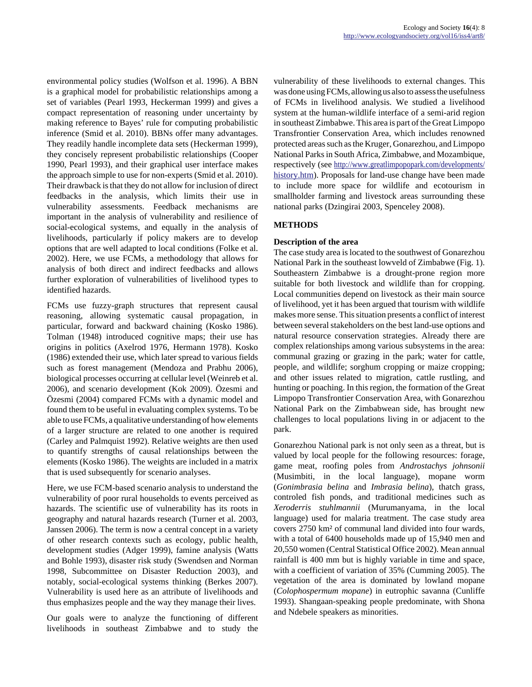environmental policy studies (Wolfson et al. 1996). A BBN is a graphical model for probabilistic relationships among a set of variables (Pearl 1993, Heckerman 1999) and gives a compact representation of reasoning under uncertainty by making reference to Bayes' rule for computing probabilistic inference (Smid et al. 2010). BBNs offer many advantages. They readily handle incomplete data sets (Heckerman 1999), they concisely represent probabilistic relationships (Cooper 1990, Pearl 1993), and their graphical user interface makes the approach simple to use for non-experts (Smid et al. 2010). Their drawback is that they do not allow for inclusion of direct feedbacks in the analysis, which limits their use in vulnerability assessments. Feedback mechanisms are important in the analysis of vulnerability and resilience of social-ecological systems, and equally in the analysis of livelihoods, particularly if policy makers are to develop options that are well adapted to local conditions (Folke et al. 2002). Here, we use FCMs, a methodology that allows for analysis of both direct and indirect feedbacks and allows further exploration of vulnerabilities of livelihood types to identified hazards.

FCMs use fuzzy-graph structures that represent causal reasoning, allowing systematic causal propagation, in particular, forward and backward chaining (Kosko 1986). Tolman (1948) introduced cognitive maps; their use has origins in politics (Axelrod 1976, Hermann 1978). Kosko (1986) extended their use, which later spread to various fields such as forest management (Mendoza and Prabhu 2006), biological processes occurring at cellular level (Weinreb et al. 2006), and scenario development (Kok 2009). Özesmi and Özesmi (2004) compared FCMs with a dynamic model and found them to be useful in evaluating complex systems. To be able to use FCMs, a qualitative understanding of how elements of a larger structure are related to one another is required (Carley and Palmquist 1992). Relative weights are then used to quantify strengths of causal relationships between the elements (Kosko 1986). The weights are included in a matrix that is used subsequently for scenario analyses.

Here, we use FCM-based scenario analysis to understand the vulnerability of poor rural households to events perceived as hazards. The scientific use of vulnerability has its roots in geography and natural hazards research (Turner et al. 2003, Janssen 2006). The term is now a central concept in a variety of other research contexts such as ecology, public health, development studies (Adger 1999), famine analysis (Watts and Bohle 1993), disaster risk study (Swendsen and Norman 1998, Subcommittee on Disaster Reduction 2003), and notably, social-ecological systems thinking (Berkes 2007). Vulnerability is used here as an attribute of livelihoods and thus emphasizes people and the way they manage their lives.

Our goals were to analyze the functioning of different livelihoods in southeast Zimbabwe and to study the vulnerability of these livelihoods to external changes. This was done using FCMs, allowing us also to assess the usefulness of FCMs in livelihood analysis. We studied a livelihood system at the human-wildlife interface of a semi-arid region in southeast Zimbabwe. This area is part of the Great Limpopo Transfrontier Conservation Area, which includes renowned protected areas such as the Kruger, Gonarezhou, and Limpopo National Parks in South Africa, Zimbabwe, and Mozambique, respectively (see [http://www.greatlimpopopark.com/developments/](http://www.greatlimpopopark.com/developments/history.htm) [history.htm\)](http://www.greatlimpopopark.com/developments/history.htm). Proposals for land-use change have been made to include more space for wildlife and ecotourism in smallholder farming and livestock areas surrounding these national parks (Dzingirai 2003, Spenceley 2008).

# **METHODS**

# **Description of the area**

The case study area is located to the southwest of Gonarezhou National Park in the southeast lowveld of Zimbabwe (Fig. 1). Southeastern Zimbabwe is a drought-prone region more suitable for both livestock and wildlife than for cropping. Local communities depend on livestock as their main source of livelihood, yet it has been argued that tourism with wildlife makes more sense. This situation presents a conflict of interest between several stakeholders on the best land-use options and natural resource conservation strategies. Already there are complex relationships among various subsystems in the area: communal grazing or grazing in the park; water for cattle, people, and wildlife; sorghum cropping or maize cropping; and other issues related to migration, cattle rustling, and hunting or poaching. In this region, the formation of the Great Limpopo Transfrontier Conservation Area, with Gonarezhou National Park on the Zimbabwean side, has brought new challenges to local populations living in or adjacent to the park.

Gonarezhou National park is not only seen as a threat, but is valued by local people for the following resources: forage, game meat, roofing poles from *Androstachys johnsonii* (Musimbiti, in the local language), mopane worm (*Gonimbrasia belina* and *Imbrasia belina*), thatch grass, controled fish ponds, and traditional medicines such as *Xeroderris stuhlmannii* (Murumanyama, in the local language) used for malaria treatment. The case study area covers 2750 km² of communal land divided into four wards, with a total of 6400 households made up of 15,940 men and 20,550 women (Central Statistical Office 2002). Mean annual rainfall is 400 mm but is highly variable in time and space, with a coefficient of variation of 35% (Cumming 2005). The vegetation of the area is dominated by lowland mopane (*Colophospermum mopane*) in eutrophic savanna (Cunliffe 1993). Shangaan-speaking people predominate, with Shona and Ndebele speakers as minorities.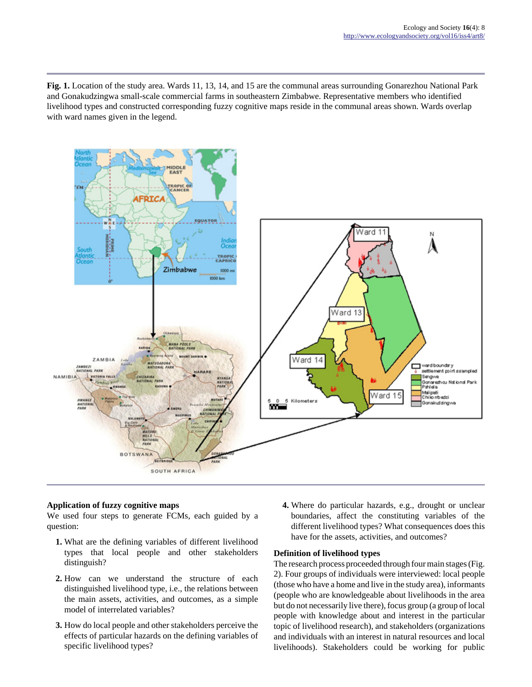**Fig. 1.** Location of the study area. Wards 11, 13, 14, and 15 are the communal areas surrounding Gonarezhou National Park and Gonakudzingwa small-scale commercial farms in southeastern Zimbabwe. Representative members who identified livelihood types and constructed corresponding fuzzy cognitive maps reside in the communal areas shown. Wards overlap with ward names given in the legend.



## **Application of fuzzy cognitive maps**

We used four steps to generate FCMs, each guided by a question:

- **1.** What are the defining variables of different livelihood types that local people and other stakeholders distinguish?
- **2.** How can we understand the structure of each distinguished livelihood type, i.e., the relations between the main assets, activities, and outcomes, as a simple model of interrelated variables?
- **3.** How do local people and other stakeholders perceive the effects of particular hazards on the defining variables of specific livelihood types?

**4.** Where do particular hazards, e.g., drought or unclear boundaries, affect the constituting variables of the different livelihood types? What consequences does this have for the assets, activities, and outcomes?

## **Definition of livelihood types**

The research process proceeded through four main stages (Fig. 2). Four groups of individuals were interviewed: local people (those who have a home and live in the study area), informants (people who are knowledgeable about livelihoods in the area but do not necessarily live there), focus group (a group of local people with knowledge about and interest in the particular topic of livelihood research), and stakeholders (organizations and individuals with an interest in natural resources and local livelihoods). Stakeholders could be working for public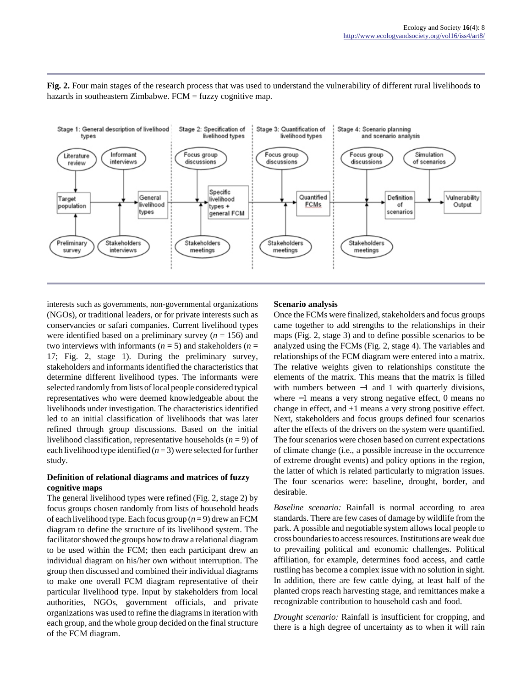**Fig. 2.** Four main stages of the research process that was used to understand the vulnerability of different rural livelihoods to hazards in southeastern Zimbabwe. FCM = fuzzy cognitive map.



interests such as governments, non-governmental organizations (NGOs), or traditional leaders, or for private interests such as conservancies or safari companies. Current livelihood types were identified based on a preliminary survey (*n* = 156) and two interviews with informants ( $n = 5$ ) and stakeholders ( $n =$ 17; Fig. 2, stage 1). During the preliminary survey, stakeholders and informants identified the characteristics that determine different livelihood types. The informants were selected randomly from lists of local people considered typical representatives who were deemed knowledgeable about the livelihoods under investigation. The characteristics identified led to an initial classification of livelihoods that was later refined through group discussions. Based on the initial livelihood classification, representative households (*n* = 9) of each livelihood type identified (*n* = 3) were selected for further study.

## **Definition of relational diagrams and matrices of fuzzy cognitive maps**

The general livelihood types were refined (Fig. 2, stage 2) by focus groups chosen randomly from lists of household heads of each livelihood type. Each focus group (*n* = 9) drew an FCM diagram to define the structure of its livelihood system. The facilitator showed the groups how to draw a relational diagram to be used within the FCM; then each participant drew an individual diagram on his/her own without interruption. The group then discussed and combined their individual diagrams to make one overall FCM diagram representative of their particular livelihood type. Input by stakeholders from local authorities, NGOs, government officials, and private organizations was used to refine the diagrams in iteration with each group, and the whole group decided on the final structure of the FCM diagram.

## **Scenario analysis**

Once the FCMs were finalized, stakeholders and focus groups came together to add strengths to the relationships in their maps (Fig. 2, stage 3) and to define possible scenarios to be analyzed using the FCMs (Fig. 2, stage 4). The variables and relationships of the FCM diagram were entered into a matrix. The relative weights given to relationships constitute the elements of the matrix. This means that the matrix is filled with numbers between −1 and 1 with quarterly divisions, where −1 means a very strong negative effect, 0 means no change in effect, and +1 means a very strong positive effect. Next, stakeholders and focus groups defined four scenarios after the effects of the drivers on the system were quantified. The four scenarios were chosen based on current expectations of climate change (i.e., a possible increase in the occurrence of extreme drought events) and policy options in the region, the latter of which is related particularly to migration issues. The four scenarios were: baseline, drought, border, and desirable.

*Baseline scenario:* Rainfall is normal according to area standards. There are few cases of damage by wildlife from the park. A possible and negotiable system allows local people to cross boundaries to access resources. Institutions are weak due to prevailing political and economic challenges. Political affiliation, for example, determines food access, and cattle rustling has become a complex issue with no solution in sight. In addition, there are few cattle dying, at least half of the planted crops reach harvesting stage, and remittances make a recognizable contribution to household cash and food.

*Drought scenario:* Rainfall is insufficient for cropping, and there is a high degree of uncertainty as to when it will rain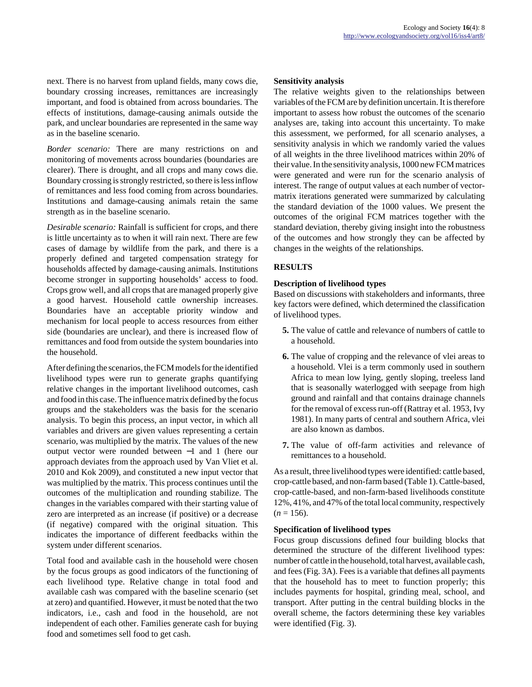next. There is no harvest from upland fields, many cows die, boundary crossing increases, remittances are increasingly important, and food is obtained from across boundaries. The effects of institutions, damage-causing animals outside the park, and unclear boundaries are represented in the same way as in the baseline scenario.

*Border scenario:* There are many restrictions on and monitoring of movements across boundaries (boundaries are clearer). There is drought, and all crops and many cows die. Boundary crossing is strongly restricted, so there is less inflow of remittances and less food coming from across boundaries. Institutions and damage-causing animals retain the same strength as in the baseline scenario.

*Desirable scenario:* Rainfall is sufficient for crops, and there is little uncertainty as to when it will rain next. There are few cases of damage by wildlife from the park, and there is a properly defined and targeted compensation strategy for households affected by damage-causing animals. Institutions become stronger in supporting households' access to food. Crops grow well, and all crops that are managed properly give a good harvest. Household cattle ownership increases. Boundaries have an acceptable priority window and mechanism for local people to access resources from either side (boundaries are unclear), and there is increased flow of remittances and food from outside the system boundaries into the household.

After defining the scenarios, the FCM models for the identified livelihood types were run to generate graphs quantifying relative changes in the important livelihood outcomes, cash and food in this case. The influence matrix defined by the focus groups and the stakeholders was the basis for the scenario analysis. To begin this process, an input vector, in which all variables and drivers are given values representing a certain scenario, was multiplied by the matrix. The values of the new output vector were rounded between −1 and 1 (here our approach deviates from the approach used by Van Vliet et al. 2010 and Kok 2009), and constituted a new input vector that was multiplied by the matrix. This process continues until the outcomes of the multiplication and rounding stabilize. The changes in the variables compared with their starting value of zero are interpreted as an increase (if positive) or a decrease (if negative) compared with the original situation. This indicates the importance of different feedbacks within the system under different scenarios.

Total food and available cash in the household were chosen by the focus groups as good indicators of the functioning of each livelihood type. Relative change in total food and available cash was compared with the baseline scenario (set at zero) and quantified. However, it must be noted that the two indicators, i.e., cash and food in the household, are not independent of each other. Families generate cash for buying food and sometimes sell food to get cash.

#### **Sensitivity analysis**

The relative weights given to the relationships between variables of the FCM are by definition uncertain. It is therefore important to assess how robust the outcomes of the scenario analyses are, taking into account this uncertainty. To make this assessment, we performed, for all scenario analyses, a sensitivity analysis in which we randomly varied the values of all weights in the three livelihood matrices within 20% of their value. In the sensitivity analysis, 1000 new FCM matrices were generated and were run for the scenario analysis of interest. The range of output values at each number of vectormatrix iterations generated were summarized by calculating the standard deviation of the 1000 values. We present the outcomes of the original FCM matrices together with the standard deviation, thereby giving insight into the robustness of the outcomes and how strongly they can be affected by changes in the weights of the relationships.

#### **RESULTS**

#### **Description of livelihood types**

Based on discussions with stakeholders and informants, three key factors were defined, which determined the classification of livelihood types.

- **5.** The value of cattle and relevance of numbers of cattle to a household.
- **6.** The value of cropping and the relevance of vlei areas to a household. Vlei is a term commonly used in southern Africa to mean low lying, gently sloping, treeless land that is seasonally waterlogged with seepage from high ground and rainfall and that contains drainage channels for the removal of excess run-off (Rattray et al. 1953, Ivy 1981). In many parts of central and southern Africa, vlei are also known as dambos.
- **7.** The value of off-farm activities and relevance of remittances to a household.

As a result, three livelihood types were identified: cattle based, crop-cattle based, and non-farm based (Table 1). Cattle-based, crop-cattle-based, and non-farm-based livelihoods constitute 12%, 41%, and 47% of the total local community, respectively  $(n = 156)$ .

#### **Specification of livelihood types**

Focus group discussions defined four building blocks that determined the structure of the different livelihood types: number of cattle in the household, total harvest, available cash, and fees (Fig. 3A). Fees is a variable that defines all payments that the household has to meet to function properly; this includes payments for hospital, grinding meal, school, and transport. After putting in the central building blocks in the overall scheme, the factors determining these key variables were identified (Fig. 3).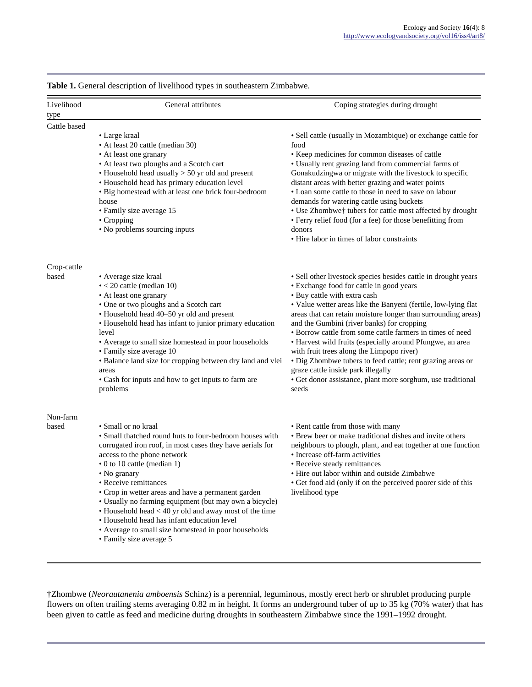**Table 1.** General description of livelihood types in southeastern Zimbabwe.

| Livelihood<br>type   | General attributes                                                                                                                                                                                                                                                                                                                                                                                                                                                                                                                                             | Coping strategies during drought                                                                                                                                                                                                                                                                                                                                                                                                                                                                                                                                                                                                                                               |
|----------------------|----------------------------------------------------------------------------------------------------------------------------------------------------------------------------------------------------------------------------------------------------------------------------------------------------------------------------------------------------------------------------------------------------------------------------------------------------------------------------------------------------------------------------------------------------------------|--------------------------------------------------------------------------------------------------------------------------------------------------------------------------------------------------------------------------------------------------------------------------------------------------------------------------------------------------------------------------------------------------------------------------------------------------------------------------------------------------------------------------------------------------------------------------------------------------------------------------------------------------------------------------------|
| Cattle based         | • Large kraal<br>• At least 20 cattle (median 30)<br>• At least one granary<br>• At least two ploughs and a Scotch cart<br>$\bullet$ Household head usually $> 50$ yr old and present<br>• Household head has primary education level<br>• Big homestead with at least one brick four-bedroom<br>house<br>• Family size average 15<br>• Cropping<br>• No problems sourcing inputs                                                                                                                                                                              | • Sell cattle (usually in Mozambique) or exchange cattle for<br>food<br>• Keep medicines for common diseases of cattle<br>• Usually rent grazing land from commercial farms of<br>Gonakudzingwa or migrate with the livestock to specific<br>distant areas with better grazing and water points<br>• Loan some cattle to those in need to save on labour<br>demands for watering cattle using buckets<br>• Use Zhombwe† tubers for cattle most affected by drought<br>• Ferry relief food (for a fee) for those benefitting from<br>donors<br>• Hire labor in times of labor constraints                                                                                       |
| Crop-cattle<br>based | • Average size kraal<br>$\bullet$ < 20 cattle (median 10)<br>• At least one granary<br>• One or two ploughs and a Scotch cart<br>• Household head 40-50 yr old and present<br>• Household head has infant to junior primary education<br>level<br>• Average to small size homestead in poor households<br>• Family size average 10<br>• Balance land size for cropping between dry land and vlei<br>areas<br>• Cash for inputs and how to get inputs to farm are<br>problems                                                                                   | • Sell other livestock species besides cattle in drought years<br>• Exchange food for cattle in good years<br>· Buy cattle with extra cash<br>• Value wetter areas like the Banyeni (fertile, low-lying flat<br>areas that can retain moisture longer than surrounding areas)<br>and the Gumbini (river banks) for cropping<br>· Borrow cattle from some cattle farmers in times of need<br>• Harvest wild fruits (especially around Pfungwe, an area<br>with fruit trees along the Limpopo river)<br>• Dig Zhombwe tubers to feed cattle; rent grazing areas or<br>graze cattle inside park illegally<br>· Get donor assistance, plant more sorghum, use traditional<br>seeds |
| Non-farm<br>based    | • Small or no kraal<br>• Small thatched round huts to four-bedroom houses with<br>corrugated iron roof, in most cases they have aerials for<br>access to the phone network<br>• 0 to 10 cattle (median 1)<br>• No granary<br>• Receive remittances<br>• Crop in wetter areas and have a permanent garden<br>• Usually no farming equipment (but may own a bicycle)<br>• Household head < 40 yr old and away most of the time<br>• Household head has infant education level<br>• Average to small size homestead in poor households<br>• Family size average 5 | • Rent cattle from those with many<br>• Brew beer or make traditional dishes and invite others<br>neighbours to plough, plant, and eat together at one function<br>• Increase off-farm activities<br>• Receive steady remittances<br>• Hire out labor within and outside Zimbabwe<br>• Get food aid (only if on the perceived poorer side of this<br>livelihood type                                                                                                                                                                                                                                                                                                           |

†Zhombwe (*Neorautanenia amboensis* Schinz) is a perennial, leguminous, mostly erect herb or shrublet producing purple flowers on often trailing stems averaging 0.82 m in height. It forms an underground tuber of up to 35 kg (70% water) that has been given to cattle as feed and medicine during droughts in southeastern Zimbabwe since the 1991–1992 drought.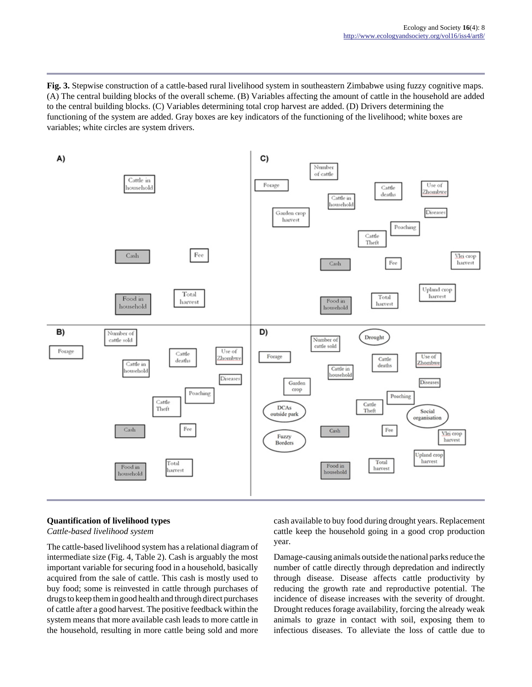**Fig. 3.** Stepwise construction of a cattle-based rural livelihood system in southeastern Zimbabwe using fuzzy cognitive maps. (A) The central building blocks of the overall scheme. (B) Variables affecting the amount of cattle in the household are added to the central building blocks. (C) Variables determining total crop harvest are added. (D) Drivers determining the functioning of the system are added. Gray boxes are key indicators of the functioning of the livelihood; white boxes are variables; white circles are system drivers.



## **Quantification of livelihood types**

*Cattle-based livelihood system*

The cattle-based livelihood system has a relational diagram of intermediate size (Fig. 4, Table 2). Cash is arguably the most important variable for securing food in a household, basically acquired from the sale of cattle. This cash is mostly used to buy food; some is reinvested in cattle through purchases of drugs to keep them in good health and through direct purchases of cattle after a good harvest. The positive feedback within the system means that more available cash leads to more cattle in the household, resulting in more cattle being sold and more cash available to buy food during drought years. Replacement cattle keep the household going in a good crop production year.

Damage-causing animals outside the national parks reduce the number of cattle directly through depredation and indirectly through disease. Disease affects cattle productivity by reducing the growth rate and reproductive potential. The incidence of disease increases with the severity of drought. Drought reduces forage availability, forcing the already weak animals to graze in contact with soil, exposing them to infectious diseases. To alleviate the loss of cattle due to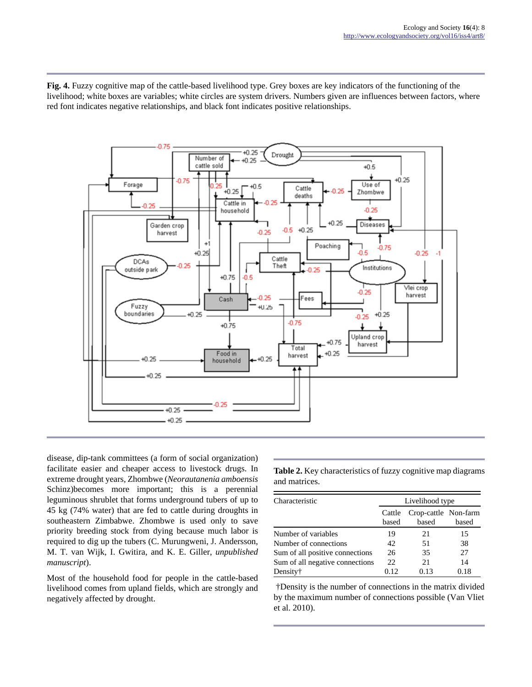**Fig. 4.** Fuzzy cognitive map of the cattle-based livelihood type. Grey boxes are key indicators of the functioning of the livelihood; white boxes are variables; white circles are system drivers. Numbers given are influences between factors, where red font indicates negative relationships, and black font indicates positive relationships.



disease, dip-tank committees (a form of social organization) facilitate easier and cheaper access to livestock drugs. In extreme drought years, Zhombwe (*Neorautanenia amboensis* Schinz)becomes more important; this is a perennial leguminous shrublet that forms underground tubers of up to 45 kg (74% water) that are fed to cattle during droughts in southeastern Zimbabwe. Zhombwe is used only to save priority breeding stock from dying because much labor is required to dig up the tubers (C. Murungweni, J. Andersson, M. T. van Wijk, I. Gwitira, and K. E. Giller, *unpublished manuscript*).

Most of the household food for people in the cattle-based livelihood comes from upland fields, which are strongly and negatively affected by drought.

**Table 2.** Key characteristics of fuzzy cognitive map diagrams and matrices.

| Characteristic                  | Livelihood type |                               |       |
|---------------------------------|-----------------|-------------------------------|-------|
|                                 | Cattle<br>based | Crop-cattle Non-farm<br>based | based |
| Number of variables             | 19              | 21                            | 15    |
| Number of connections           | 42              | 51                            | 38    |
| Sum of all positive connections | 26              | 35                            | 27    |
| Sum of all negative connections | 22              | 21                            | 14    |
| Density†                        | 0.12            | 0.13                          | 0.18  |

 †Density is the number of connections in the matrix divided by the maximum number of connections possible (Van Vliet et al. 2010).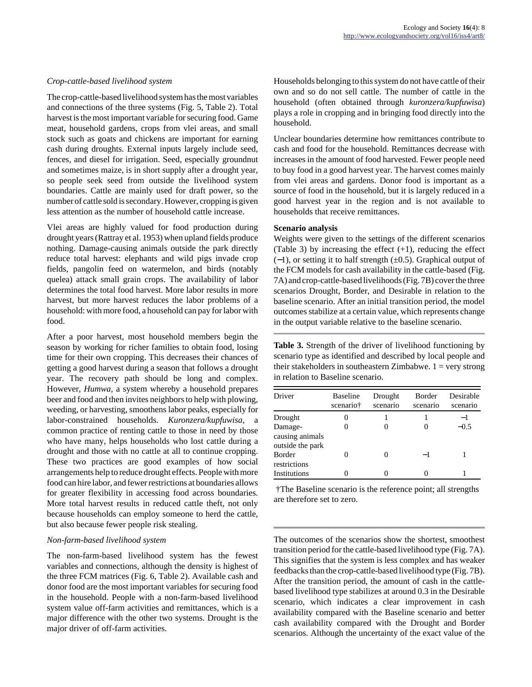#### *Crop-cattle-based livelihood system*

The crop-cattle-based livelihood system has the most variables and connections of the three systems (Fig. 5, Table 2). Total harvest is the most important variable for securing food. Game meat, household gardens, crops from vlei areas, and small stock such as goats and chickens are important for earning cash during droughts. External inputs largely include seed, fences, and diesel for irrigation. Seed, especially groundnut and sometimes maize, is in short supply after a drought year, so people seek seed from outside the livelihood system boundaries. Cattle are mainly used for draft power, so the number of cattle sold is secondary. However, cropping is given less attention as the number of household cattle increase.

Vlei areas are highly valued for food production during drought years (Rattray et al. 1953) when upland fields produce nothing. Damage-causing animals outside the park directly reduce total harvest: elephants and wild pigs invade crop fields, pangolin feed on watermelon, and birds (notably quelea) attack small grain crops. The availability of labor determines the total food harvest. More labor results in more harvest, but more harvest reduces the labor problems of a household: with more food, a household can pay for labor with food.

After a poor harvest, most household members begin the season by working for richer families to obtain food, losing time for their own cropping. This decreases their chances of getting a good harvest during a season that follows a drought year. The recovery path should be long and complex. However, *Humwa,* a system whereby a household prepares beer and food and then invites neighbors to help with plowing, weeding, or harvesting, smoothens labor peaks, especially for labor-constrained households. *Kuronzera/kupfuwisa,* a common practice of renting cattle to those in need by those who have many, helps households who lost cattle during a drought and those with no cattle at all to continue cropping. These two practices are good examples of how social arrangements help to reduce drought effects. People with more food can hire labor, and fewer restrictions at boundaries allows for greater flexibility in accessing food across boundaries. More total harvest results in reduced cattle theft, not only because households can employ someone to herd the cattle, but also because fewer people risk stealing.

#### *Non-farm-based livelihood system*

The non-farm-based livelihood system has the fewest variables and connections, although the density is highest of the three FCM matrices (Fig. 6, Table 2). Available cash and donor food are the most important variables for securing food in the household. People with a non-farm-based livelihood system value off-farm activities and remittances, which is a major difference with the other two systems. Drought is the major driver of off-farm activities.

Households belonging to this system do not have cattle of their own and so do not sell cattle. The number of cattle in the household (often obtained through *kuronzera/kupfuwisa*) plays a role in cropping and in bringing food directly into the household.

Unclear boundaries determine how remittances contribute to cash and food for the household. Remittances decrease with increases in the amount of food harvested. Fewer people need to buy food in a good harvest year. The harvest comes mainly from vlei areas and gardens. Donor food is important as a source of food in the household, but it is largely reduced in a good harvest year in the region and is not available to households that receive remittances.

#### **Scenario analysis**

Weights were given to the settings of the different scenarios (Table 3) by increasing the effect  $(+1)$ , reducing the effect (−1), or setting it to half strength (±0.5). Graphical output of the FCM models for cash availability in the cattle-based (Fig. 7A) and crop-cattle-based livelihoods (Fig. 7B) cover the three scenarios Drought, Border, and Desirable in relation to the baseline scenario. After an initial transition period, the model outcomes stabilize at a certain value, which represents change in the output variable relative to the baseline scenario.

**Table 3.** Strength of the driver of livelihood functioning by scenario type as identified and described by local people and their stakeholders in southeastern Zimbabwe.  $1 = \text{very strong}$ in relation to Baseline scenario.

| Driver                                         | Baseline<br>scenario† | Drought<br>scenario | Border<br>scenario | Desirable<br>scenario |
|------------------------------------------------|-----------------------|---------------------|--------------------|-----------------------|
| Drought                                        |                       |                     |                    | -1                    |
| Damage-<br>causing animals<br>outside the park |                       | 0                   |                    | $-0.5$                |
| <b>Border</b><br>restrictions                  |                       | 0                   | -1                 |                       |
| Institutions                                   |                       |                     |                    |                       |

 †The Baseline scenario is the reference point; all strengths are therefore set to zero.

The outcomes of the scenarios show the shortest, smoothest transition period for the cattle-based livelihood type (Fig. 7A). This signifies that the system is less complex and has weaker feedbacks than the crop-cattle-based livelihood type (Fig. 7B). After the transition period, the amount of cash in the cattlebased livelihood type stabilizes at around 0.3 in the Desirable scenario, which indicates a clear improvement in cash availability compared with the Baseline scenario and better cash availability compared with the Drought and Border scenarios. Although the uncertainty of the exact value of the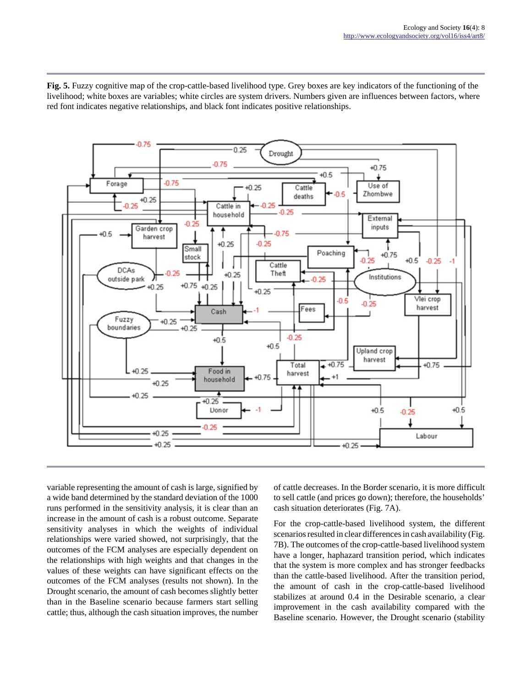**Fig. 5.** Fuzzy cognitive map of the crop-cattle-based livelihood type. Grey boxes are key indicators of the functioning of the livelihood; white boxes are variables; white circles are system drivers. Numbers given are influences between factors, where red font indicates negative relationships, and black font indicates positive relationships.



variable representing the amount of cash is large, signified by a wide band determined by the standard deviation of the 1000 runs performed in the sensitivity analysis, it is clear than an increase in the amount of cash is a robust outcome. Separate sensitivity analyses in which the weights of individual relationships were varied showed, not surprisingly, that the outcomes of the FCM analyses are especially dependent on the relationships with high weights and that changes in the values of these weights can have significant effects on the outcomes of the FCM analyses (results not shown). In the Drought scenario, the amount of cash becomes slightly better than in the Baseline scenario because farmers start selling cattle; thus, although the cash situation improves, the number of cattle decreases. In the Border scenario, it is more difficult to sell cattle (and prices go down); therefore, the households' cash situation deteriorates (Fig. 7A).

For the crop-cattle-based livelihood system, the different scenarios resulted in clear differences in cash availability (Fig. 7B). The outcomes of the crop-cattle-based livelihood system have a longer, haphazard transition period, which indicates that the system is more complex and has stronger feedbacks than the cattle-based livelihood. After the transition period, the amount of cash in the crop-cattle-based livelihood stabilizes at around 0.4 in the Desirable scenario, a clear improvement in the cash availability compared with the Baseline scenario. However, the Drought scenario (stability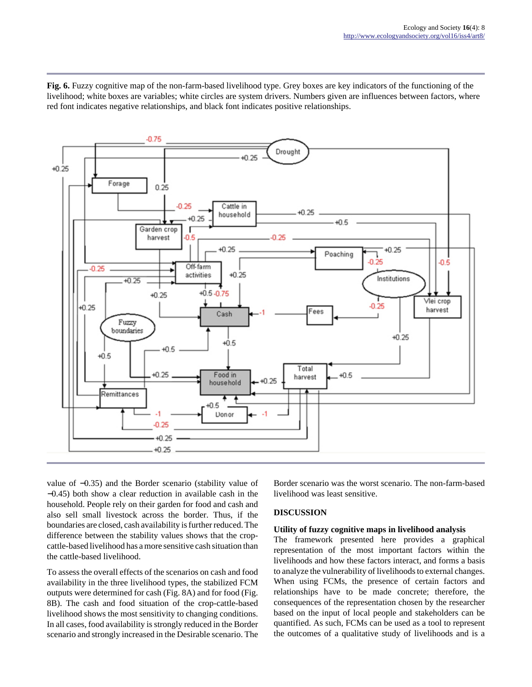**Fig. 6.** Fuzzy cognitive map of the non-farm-based livelihood type. Grey boxes are key indicators of the functioning of the livelihood; white boxes are variables; white circles are system drivers. Numbers given are influences between factors, where red font indicates negative relationships, and black font indicates positive relationships.



value of −0.35) and the Border scenario (stability value of −0.45) both show a clear reduction in available cash in the household. People rely on their garden for food and cash and also sell small livestock across the border. Thus, if the boundaries are closed, cash availability is further reduced. The difference between the stability values shows that the cropcattle-based livelihood has a more sensitive cash situation than the cattle-based livelihood.

To assess the overall effects of the scenarios on cash and food availability in the three livelihood types, the stabilized FCM outputs were determined for cash (Fig. 8A) and for food (Fig. 8B). The cash and food situation of the crop-cattle-based livelihood shows the most sensitivity to changing conditions. In all cases, food availability is strongly reduced in the Border scenario and strongly increased in the Desirable scenario. The Border scenario was the worst scenario. The non-farm-based livelihood was least sensitive.

## **DISCUSSION**

## **Utility of fuzzy cognitive maps in livelihood analysis**

The framework presented here provides a graphical representation of the most important factors within the livelihoods and how these factors interact, and forms a basis to analyze the vulnerability of livelihoods to external changes. When using FCMs, the presence of certain factors and relationships have to be made concrete; therefore, the consequences of the representation chosen by the researcher based on the input of local people and stakeholders can be quantified. As such, FCMs can be used as a tool to represent the outcomes of a qualitative study of livelihoods and is a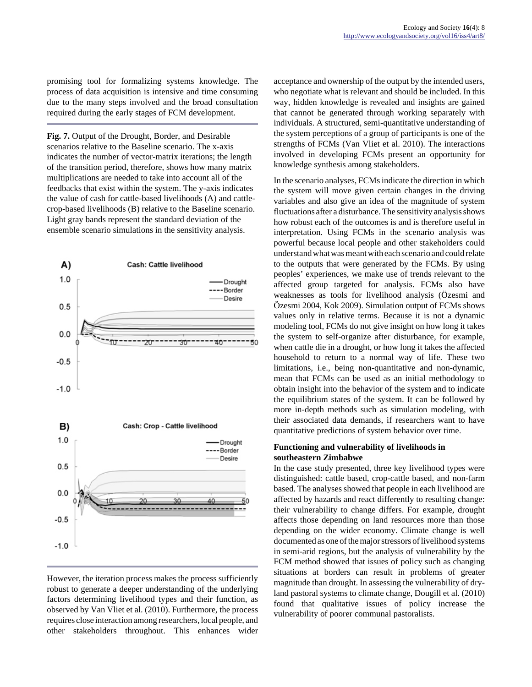promising tool for formalizing systems knowledge. The process of data acquisition is intensive and time consuming due to the many steps involved and the broad consultation required during the early stages of FCM development.

**Fig. 7.** Output of the Drought, Border, and Desirable scenarios relative to the Baseline scenario. The x-axis indicates the number of vector-matrix iterations; the length of the transition period, therefore, shows how many matrix multiplications are needed to take into account all of the feedbacks that exist within the system. The y-axis indicates the value of cash for cattle-based livelihoods (A) and cattlecrop-based livelihoods (B) relative to the Baseline scenario. Light gray bands represent the standard deviation of the ensemble scenario simulations in the sensitivity analysis.



## However, the iteration process makes the process sufficiently robust to generate a deeper understanding of the underlying factors determining livelihood types and their function, as observed by Van Vliet et al. (2010). Furthermore, the process requires close interaction among researchers, local people, and other stakeholders throughout. This enhances wider

acceptance and ownership of the output by the intended users, who negotiate what is relevant and should be included. In this way, hidden knowledge is revealed and insights are gained that cannot be generated through working separately with individuals. A structured, semi-quantitative understanding of the system perceptions of a group of participants is one of the strengths of FCMs (Van Vliet et al. 2010). The interactions involved in developing FCMs present an opportunity for knowledge synthesis among stakeholders.

In the scenario analyses, FCMs indicate the direction in which the system will move given certain changes in the driving variables and also give an idea of the magnitude of system fluctuations after a disturbance. The sensitivity analysis shows how robust each of the outcomes is and is therefore useful in interpretation. Using FCMs in the scenario analysis was powerful because local people and other stakeholders could understand what was meant with each scenario and could relate to the outputs that were generated by the FCMs. By using peoples' experiences, we make use of trends relevant to the affected group targeted for analysis. FCMs also have weaknesses as tools for livelihood analysis (Özesmi and Özesmi 2004, Kok 2009). Simulation output of FCMs shows values only in relative terms. Because it is not a dynamic modeling tool, FCMs do not give insight on how long it takes the system to self-organize after disturbance, for example, when cattle die in a drought, or how long it takes the affected household to return to a normal way of life. These two limitations, i.e., being non-quantitative and non-dynamic, mean that FCMs can be used as an initial methodology to obtain insight into the behavior of the system and to indicate the equilibrium states of the system. It can be followed by more in-depth methods such as simulation modeling, with their associated data demands, if researchers want to have quantitative predictions of system behavior over time.

## **Functioning and vulnerability of livelihoods in southeastern Zimbabwe**

In the case study presented, three key livelihood types were distinguished: cattle based, crop-cattle based, and non-farm based. The analyses showed that people in each livelihood are affected by hazards and react differently to resulting change: their vulnerability to change differs. For example, drought affects those depending on land resources more than those depending on the wider economy. Climate change is well documented as one of the major stressors of livelihood systems in semi-arid regions, but the analysis of vulnerability by the FCM method showed that issues of policy such as changing situations at borders can result in problems of greater magnitude than drought. In assessing the vulnerability of dryland pastoral systems to climate change, Dougill et al. (2010) found that qualitative issues of policy increase the vulnerability of poorer communal pastoralists.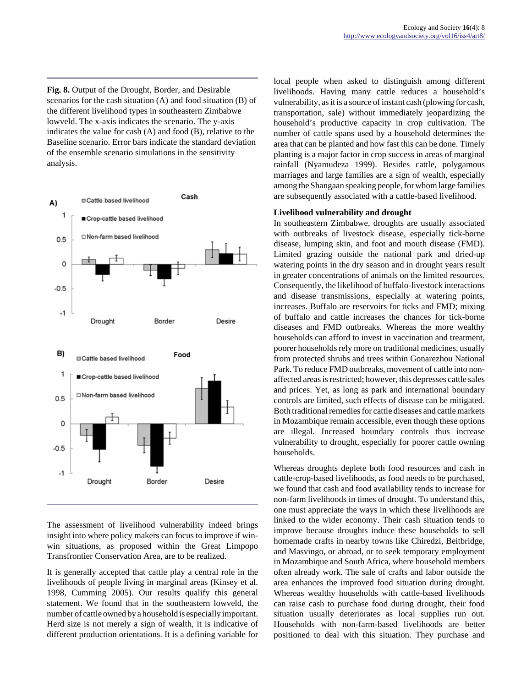**Fig. 8.** Output of the Drought, Border, and Desirable scenarios for the cash situation (A) and food situation (B) of the different livelihood types in southeastern Zimbabwe lowveld. The x-axis indicates the scenario. The y-axis indicates the value for cash (A) and food (B), relative to the Baseline scenario. Error bars indicate the standard deviation of the ensemble scenario simulations in the sensitivity analysis.



The assessment of livelihood vulnerability indeed brings insight into where policy makers can focus to improve if winwin situations, as proposed within the Great Limpopo Transfrontier Conservation Area, are to be realized.

It is generally accepted that cattle play a central role in the livelihoods of people living in marginal areas (Kinsey et al. 1998, Cumming 2005). Our results qualify this general statement. We found that in the southeastern lowveld, the number of cattle owned by a household is especially important. Herd size is not merely a sign of wealth, it is indicative of different production orientations. It is a defining variable for local people when asked to distinguish among different livelihoods. Having many cattle reduces a household's vulnerability, as it is a source of instant cash (plowing for cash, transportation, sale) without immediately jeopardizing the household's productive capacity in crop cultivation. The number of cattle spans used by a household determines the area that can be planted and how fast this can be done. Timely planting is a major factor in crop success in areas of marginal rainfall (Nyamudeza 1999). Besides cattle, polygamous marriages and large families are a sign of wealth, especially among the Shangaan speaking people, for whom large families are subsequently associated with a cattle-based livelihood.

#### **Livelihood vulnerability and drought**

In southeastern Zimbabwe, droughts are usually associated with outbreaks of livestock disease, especially tick-borne disease, lumping skin, and foot and mouth disease (FMD). Limited grazing outside the national park and dried-up watering points in the dry season and in drought years result in greater concentrations of animals on the limited resources. Consequently, the likelihood of buffalo-livestock interactions and disease transmissions, especially at watering points, increases. Buffalo are reservoirs for ticks and FMD; mixing of buffalo and cattle increases the chances for tick-borne diseases and FMD outbreaks. Whereas the more wealthy households can afford to invest in vaccination and treatment, poorer households rely more on traditional medicines, usually from protected shrubs and trees within Gonarezhou National Park. To reduce FMD outbreaks, movement of cattle into nonaffected areas is restricted; however, this depresses cattle sales and prices. Yet, as long as park and international boundary controls are limited, such effects of disease can be mitigated. Both traditional remedies for cattle diseases and cattle markets in Mozambique remain accessible, even though these options are illegal. Increased boundary controls thus increase vulnerability to drought, especially for poorer cattle owning households.

Whereas droughts deplete both food resources and cash in cattle-crop-based livelihoods, as food needs to be purchased, we found that cash and food availability tends to increase for non-farm livelihoods in times of drought. To understand this, one must appreciate the ways in which these livelihoods are linked to the wider economy. Their cash situation tends to improve because droughts induce these households to sell homemade crafts in nearby towns like Chiredzi, Beitbridge, and Masvingo, or abroad, or to seek temporary employment in Mozambique and South Africa, where household members often already work. The sale of crafts and labor outside the area enhances the improved food situation during drought. Whereas wealthy households with cattle-based livelihoods can raise cash to purchase food during drought, their food situation usually deteriorates as local supplies run out. Households with non-farm-based livelihoods are better positioned to deal with this situation. They purchase and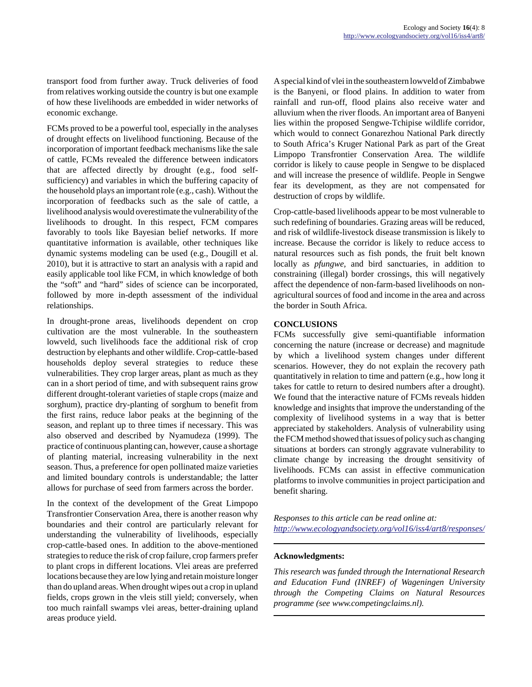transport food from further away. Truck deliveries of food from relatives working outside the country is but one example of how these livelihoods are embedded in wider networks of economic exchange.

FCMs proved to be a powerful tool, especially in the analyses of drought effects on livelihood functioning. Because of the incorporation of important feedback mechanisms like the sale of cattle, FCMs revealed the difference between indicators that are affected directly by drought (e.g., food selfsufficiency) and variables in which the buffering capacity of the household plays an important role (e.g., cash). Without the incorporation of feedbacks such as the sale of cattle, a livelihood analysis would overestimate the vulnerability of the livelihoods to drought. In this respect, FCM compares favorably to tools like Bayesian belief networks. If more quantitative information is available, other techniques like dynamic systems modeling can be used (e.g., Dougill et al. 2010), but it is attractive to start an analysis with a rapid and easily applicable tool like FCM, in which knowledge of both the "soft" and "hard" sides of science can be incorporated, followed by more in-depth assessment of the individual relationships.

In drought-prone areas, livelihoods dependent on crop cultivation are the most vulnerable. In the southeastern lowveld, such livelihoods face the additional risk of crop destruction by elephants and other wildlife. Crop-cattle-based households deploy several strategies to reduce these vulnerabilities. They crop larger areas, plant as much as they can in a short period of time, and with subsequent rains grow different drought-tolerant varieties of staple crops (maize and sorghum), practice dry-planting of sorghum to benefit from the first rains, reduce labor peaks at the beginning of the season, and replant up to three times if necessary. This was also observed and described by Nyamudeza (1999). The practice of continuous planting can, however, cause a shortage of planting material, increasing vulnerability in the next season. Thus, a preference for open pollinated maize varieties and limited boundary controls is understandable; the latter allows for purchase of seed from farmers across the border.

In the context of the development of the Great Limpopo Transfrontier Conservation Area, there is another reason why boundaries and their control are particularly relevant for understanding the vulnerability of livelihoods, especially crop-cattle-based ones. In addition to the above-mentioned strategies to reduce the risk of crop failure, crop farmers prefer to plant crops in different locations. Vlei areas are preferred locations because they are low lying and retain moisture longer than do upland areas. When drought wipes out a crop in upland fields, crops grown in the vleis still yield; conversely, when too much rainfall swamps vlei areas, better-draining upland areas produce yield.

A special kind of vlei in the southeastern lowveld of Zimbabwe is the Banyeni, or flood plains. In addition to water from rainfall and run-off, flood plains also receive water and alluvium when the river floods. An important area of Banyeni lies within the proposed Sengwe-Tchipise wildlife corridor, which would to connect Gonarezhou National Park directly to South Africa's Kruger National Park as part of the Great Limpopo Transfrontier Conservation Area. The wildlife corridor is likely to cause people in Sengwe to be displaced and will increase the presence of wildlife. People in Sengwe fear its development, as they are not compensated for destruction of crops by wildlife.

Crop-cattle-based livelihoods appear to be most vulnerable to such redefining of boundaries. Grazing areas will be reduced, and risk of wildlife-livestock disease transmission is likely to increase. Because the corridor is likely to reduce access to natural resources such as fish ponds, the fruit belt known locally as *pfungwe,* and bird sanctuaries, in addition to constraining (illegal) border crossings, this will negatively affect the dependence of non-farm-based livelihoods on nonagricultural sources of food and income in the area and across the border in South Africa.

## **CONCLUSIONS**

FCMs successfully give semi-quantifiable information concerning the nature (increase or decrease) and magnitude by which a livelihood system changes under different scenarios. However, they do not explain the recovery path quantitatively in relation to time and pattern (e.g., how long it takes for cattle to return to desired numbers after a drought). We found that the interactive nature of FCMs reveals hidden knowledge and insights that improve the understanding of the complexity of livelihood systems in a way that is better appreciated by stakeholders. Analysis of vulnerability using the FCM method showed that issues of policy such as changing situations at borders can strongly aggravate vulnerability to climate change by increasing the drought sensitivity of livelihoods. FCMs can assist in effective communication platforms to involve communities in project participation and benefit sharing.

*Responses to this article can be read online at: <http://www.ecologyandsociety.org/vol16/iss4/art8/responses/>*

#### **Acknowledgments:**

*This research was funded through the International Research and Education Fund (INREF) of Wageningen University through the Competing Claims on Natural Resources programme (see www.competingclaims.nl).*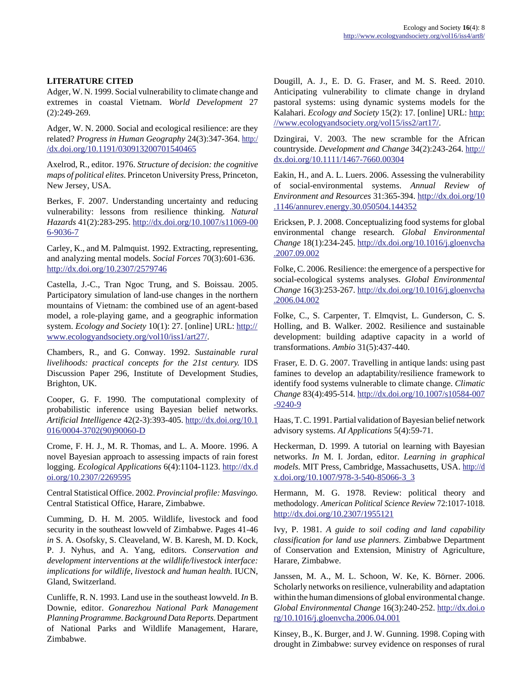# **LITERATURE CITED**

Adger, W. N. 1999. Social vulnerability to climate change and extremes in coastal Vietnam. *World Development* 27 (2):249-269.

Adger, W. N. 2000. Social and ecological resilience: are they related? *Progress in Human Geography* 24(3):347-364. [http:/](http://dx.doi.org/10.1191/030913200701540465) [/dx.doi.org/10.1191/030913200701540465](http://dx.doi.org/10.1191/030913200701540465)

Axelrod, R., editor. 1976. *Structure of decision: the cognitive maps of political elites.* Princeton University Press, Princeton, New Jersey, USA.

Berkes, F. 2007. Understanding uncertainty and reducing vulnerability: lessons from resilience thinking. *Natural Hazards* 41(2):283-295. [http://dx.doi.org/10.1007/s11069-00](http://dx.doi.org/10.1007/s11069-006-9036-7) [6-9036-7](http://dx.doi.org/10.1007/s11069-006-9036-7)

Carley, K., and M. Palmquist. 1992. Extracting, representing, and analyzing mental models. *Social Forces* 70(3):601-636. <http://dx.doi.org/10.2307/2579746>

Castella, J.-C., Tran Ngoc Trung, and S. Boissau. 2005. Participatory simulation of land-use changes in the northern mountains of Vietnam: the combined use of an agent-based model, a role-playing game, and a geographic information system. *Ecology and Society* 10(1): 27. [online] URL: [http://](http://www.ecologyandsociety.org/vol10/iss1/art27/) [www.ecologyandsociety.org/vol10/iss1/art27/](http://www.ecologyandsociety.org/vol10/iss1/art27/).

Chambers, R., and G. Conway. 1992. *Sustainable rural livelihoods: practical concepts for the 21st century.* IDS Discussion Paper 296, Institute of Development Studies, Brighton, UK.

Cooper, G. F. 1990. The computational complexity of probabilistic inference using Bayesian belief networks. *Artificial Intelligence* 42(2-3):393-405. [http://dx.doi.org/10.1](http://dx.doi.org/10.1016/0004-3702(90)90060-D) [016/0004-3702\(90\)90060-D](http://dx.doi.org/10.1016/0004-3702(90)90060-D)

Crome, F. H. J., M. R. Thomas, and L. A. Moore. 1996. A novel Bayesian approach to assessing impacts of rain forest logging. *Ecological Applications* 6(4):1104-1123. [http://dx.d](http://dx.doi.org/10.2307/2269595) [oi.org/10.2307/2269595](http://dx.doi.org/10.2307/2269595)

Central Statistical Office. 2002. *Provincial profile: Masvingo.* Central Statistical Office, Harare, Zimbabwe.

Cumming, D. H. M. 2005. Wildlife, livestock and food security in the southeast lowveld of Zimbabwe. Pages 41-46 *in* S. A. Osofsky, S. Cleaveland, W. B. Karesh, M. D. Kock, P. J. Nyhus, and A. Yang, editors. *Conservation and development interventions at the wildlife/livestock interface: implications for wildlife, livestock and human health.* IUCN, Gland, Switzerland.

Cunliffe, R. N. 1993. Land use in the southeast lowveld. *In* B. Downie, editor. *Gonarezhou National Park Management Planning Programme. Background Data Reports.* Department of National Parks and Wildlife Management, Harare, Zimbabwe.

Dougill, A. J., E. D. G. Fraser, and M. S. Reed. 2010. Anticipating vulnerability to climate change in dryland pastoral systems: using dynamic systems models for the Kalahari. *Ecology and Society* 15(2): 17. [online] URL: [http:](http://www.ecologyandsociety.org/vol15/iss2/art17/) [//www.ecologyandsociety.org/vol15/iss2/art17/.](http://www.ecologyandsociety.org/vol15/iss2/art17/)

Dzingirai, V. 2003. The new scramble for the African countryside. *Development and Change* 34(2):243-264. [http://](http://dx.doi.org/10.1111/1467-7660.00304) [dx.doi.org/10.1111/1467-7660.00304](http://dx.doi.org/10.1111/1467-7660.00304)

Eakin, H., and A. L. Luers. 2006. Assessing the vulnerability of social-environmental systems. *Annual Review of Environment and Resources* 31:365-394. [http://dx.doi.org/10](http://dx.doi.org/10.1146/annurev.energy.30.050504.144352) [.1146/annurev.energy.30.050504.144352](http://dx.doi.org/10.1146/annurev.energy.30.050504.144352)

Ericksen, P. J. 2008. Conceptualizing food systems for global environmental change research. *Global Environmental Change* 18(1):234-245. [http://dx.doi.org/10.1016/j.gloenvcha](http://dx.doi.org/10.1016/j.gloenvcha.2007.09.002) [.2007.09.002](http://dx.doi.org/10.1016/j.gloenvcha.2007.09.002)

Folke, C. 2006. Resilience: the emergence of a perspective for social-ecological systems analyses. *Global Environmental Change* 16(3):253-267. [http://dx.doi.org/10.1016/j.gloenvcha](http://dx.doi.org/10.1016/j.gloenvcha.2006.04.002) [.2006.04.002](http://dx.doi.org/10.1016/j.gloenvcha.2006.04.002)

Folke, C., S. Carpenter, T. Elmqvist, L. Gunderson, C. S. Holling, and B. Walker. 2002. Resilience and sustainable development: building adaptive capacity in a world of transformations. *Ambio* 31(5):437-440.

Fraser, E. D. G. 2007. Travelling in antique lands: using past famines to develop an adaptability/resilience framework to identify food systems vulnerable to climate change. *Climatic Change* 83(4):495-514. [http://dx.doi.org/10.1007/s10584-007](http://dx.doi.org/10.1007/s10584-007-9240-9) [-9240-9](http://dx.doi.org/10.1007/s10584-007-9240-9)

Haas, T. C. 1991. Partial validation of Bayesian belief network advisory systems. *AI Applications* 5(4):59-71.

Heckerman, D. 1999. A tutorial on learning with Bayesian networks. *In* M. I. Jordan, editor. *Learning in graphical models.* MIT Press, Cambridge, Massachusetts, USA. [http://d](http://dx.doi.org/10.1007/978-3-540-85066-3_3) [x.doi.org/10.1007/978-3-540-85066-3\\_3](http://dx.doi.org/10.1007/978-3-540-85066-3_3)

Hermann, M. G. 1978. Review: political theory and methodology. *American Political Science Review* 72:1017-1018. <http://dx.doi.org/10.2307/1955121>

Ivy, P. 1981. *A guide to soil coding and land capability classification for land use planners.* Zimbabwe Department of Conservation and Extension, Ministry of Agriculture, Harare, Zimbabwe.

Janssen, M. A., M. L. Schoon, W. Ke, K. Börner. 2006. Scholarly networks on resilience, vulnerability and adaptation within the human dimensions of global environmental change. *Global Environmental Change* 16(3):240-252. [http://dx.doi.o](http://dx.doi.org/10.1016/j.gloenvcha.2006.04.001) [rg/10.1016/j.gloenvcha.2006.04.001](http://dx.doi.org/10.1016/j.gloenvcha.2006.04.001)

Kinsey, B., K. Burger, and J. W. Gunning. 1998. Coping with drought in Zimbabwe: survey evidence on responses of rural